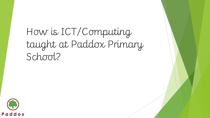How is ICT/Computing taught at Paddox Primary School?

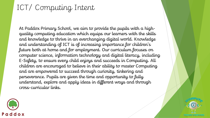# ICT/ Computing Intent

At Paddox Primary School, we aim to provide the pupils with a highquality computing education which equips our learners with the skills and knowledge to thrive in an everchanging digital world. Knowledge and understanding of ICT is of increasing importance for children's future both at home and for employment. Our curriculum focuses on computer science, information technology and digital literacy, including E-Safety, to ensure every child enjoys and succeeds in Computing. All children are encouraged to believe in their ability to master Computing and are empowered to succeed through curiosity, tinkering and perseverance. Pupils are given the time and opportunity to fully understand, explore and apply ideas in different ways and through cross-curricular links.



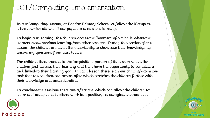# ICT/Computing Implementation

In our Computing lessons, at Paddox Primary School we follow the iCompute scheme which allows all our pupils to access the learning.

To begin our learning, the children access the 'boomerang' which is where the learners recall previous learning from other sessions. During this section of the lesson, the children are given the opportunity to showcase their knowledge by answering questions from past topics.

The children then proceed to the 'acquisition' portion of the lesson where the children first discuss their learning and then have the opportunity to complete a task linked to their learning goal. In each lesson there is an enrichment/extension task that the children can access after which stretches the children further with their knowledge and understanding.

To conclude the sessions there are reflections which can allow the children to share and analyse each others work in a positive, encouraging environment.



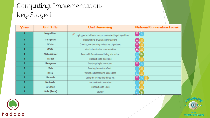# Computing Implementation Key Stage 1

| Ycar           | Unit Titla          | <b>Unit Summary</b>                                              | <b>National Curriculum Focus</b> |
|----------------|---------------------|------------------------------------------------------------------|----------------------------------|
|                | <b>iAlgorithm</b>   | ø<br>Unplugged activities to support understanding of algorithms | e e                              |
|                | <b>iProgram</b>     | Programming physical and virtual toys                            | 무                                |
|                | <b>iWrite</b>       | Creating, manipulating and storing digital text                  | $\blacksquare$                   |
|                | iData               | Introduction to data representation                              | $\blacksquare$                   |
|                | iSafa <i>(fraa)</i> | Personal information and being safe online                       | ఆ                                |
|                | iModal              | Introduction to modelling                                        |                                  |
| $\overline{z}$ | <b>iProgram</b>     | Creating simple animations                                       | 回                                |
| $\overline{2}$ | iPub                | Creating interactive eBooks                                      |                                  |
| 2              | <b>iBlog</b>        | Writing and responding using Blogs                               |                                  |
| $\overline{z}$ | <b>iScarch</b>      | Using the web to find things out                                 | 回                                |
| $\overline{2}$ | iAnimate            | Introduction to animation                                        |                                  |
| $\overline{2}$ | iDo Mail            | Introduction to Email                                            |                                  |
| 2              | iSafe (free)        | eSafety                                                          | అ                                |



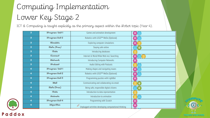# Computing Implementation Lower Key Stage 2

Paddox

ICT & Computing is taught explicitly as the primary aspect within the iRobot topic (Year 4).

| 3 | iProgram Unit 1   | Games and animation development                                            | 圓 |
|---|-------------------|----------------------------------------------------------------------------|---|
| 3 | iProgram Unit 2   | Robotics with LEGO™ WeDo (Optional)                                        |   |
| 3 | <b>iSimulate</b>  | Exploring computer simulations                                             | 무 |
| 3 | iSafa(fraa)       | Staying safe online                                                        | ఆ |
| 3 | iData             | Introducing databases                                                      |   |
| 3 | iConnect          | Internet & World Wide Web incl. Searching                                  | 鳳 |
| 3 | <b>iNatwork</b>   | <b>Introducing Computer Networks</b>                                       | 圓 |
| 3 | iPodcast          | Audio Editing with Podcasts                                                |   |
| 4 | iProgram Unit 1   | Making shapes and navigating mazes                                         | 鳳 |
| 4 | iProgram Unit 2   | Robotics with LEGO™ WeDo (Optional)                                        | 囸 |
| 4 | iProgram Unit 3   | Programming puzzles with LightBot                                          | 圓 |
| 4 | <b>iMail</b>      | Communicating and collaborating via email                                  |   |
| 4 | iSafa (free)      | Being safe, responsible digital citizens                                   |   |
| 4 | iData             | Introduction to data representation                                        |   |
| 4 | iAnimata          | Introduction to animation                                                  |   |
| 4 | iProgram Unit 4   | Programming with Scratch                                                   | 囸 |
| 4 | <b>iAlgorithm</b> | $\beta^{\sigma}$<br>Unplugged activities developing computational thinking | 圓 |

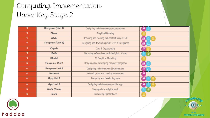#### Computing Implementation Upper Key Stage 2

| 5  | iProgram (Unit 1)        | Designing and developing computer games          | 무              |
|----|--------------------------|--------------------------------------------------|----------------|
| 5. | <b>iDraw</b>             | <b>Graphical Drawing</b>                         |                |
| 5. | <b>iW</b> <sub>a</sub> b | Remixing and creating web content using HTML     | 囸              |
| 5. | iProgram (Unit 2)        | Designing and developing multi-level X-Box games | 里              |
| 5. | iCrypto                  | Data & Cryptography                              | $\blacksquare$ |
| 5  | <b>iSafc</b>             | Becoming safe and responsible digital citizens   | ⋐              |
| 5  | <b>iModal</b>            | 3D Graphical Modelling                           |                |
| 6  | iProgram Unit 1          | Designing and developing computer programs       | 鳳              |
| 6  | iProgram Unit 2          | Designing and developing 3D animations           | 里              |
| 6  | <b>iNatwork</b>          | Networks, data and creating web content          | 里              |
| 6  | iApp Unit 1              | Designing and developing apps                    | 프              |
| 6  | iApp Unit 2              | Designing and developing mobile apps             | 里              |
| 6  | $i$ Safe (free)          | Staying safe in a digital world                  | ட்             |
| 6  | iData                    | <b>Introducing Spreadsheets</b>                  |                |



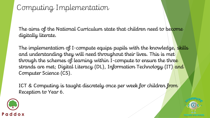#### Computing Implementation

The aims of the National Curriculum state that children need to become digitally literate.

The implementation of I-compute equips pupils with the knowledge, skills and understanding they will need throughout their lives. This is met through the schemes of learning within I-compute to ensure the three strands are met; Digital Literacy (DL), Information Technology (IT) and Computer Science (CS).

ICT & Computing is taught discretely once per week for children from Reception to Year 6.



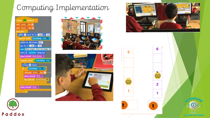### Computing Implementation



Paddox







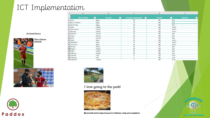# ICT Implementation

| $\blacktriangle$ | А                                              | в                   | c                               | D                                   | E.      |
|------------------|------------------------------------------------|---------------------|---------------------------------|-------------------------------------|---------|
|                  | <b>Resort Name</b><br>$\vert \mathbf{v} \vert$ | <b>Country</b><br>ы | <b>Average Temperature</b><br>E | Price £<br>$\vert \mathbf{v} \vert$ | Weather |
| $\mathbf{1}$     |                                                |                     |                                 |                                     | ◘       |
|                  | 2 Cairo                                        | Egypt               | 30                              | 665                                 | hot     |
|                  | 3 Sharm el Sheik                               | Egypt               | 35                              | 400                                 | hot     |
|                  | 4 Nile Cruise                                  | Egypt               | 30                              | 400                                 | hot     |
|                  | 5 Paris                                        | France              | 23                              | 450                                 | warm    |
|                  | 6 Euro Disney                                  | France              | 25                              | 750                                 | warm    |
|                  | 7 Brittany                                     | France              | 28                              | 350                                 | warm    |
|                  | 8 Kalithea                                     | Greece              | 33                              | 309                                 | hot     |
|                  | 9 Assos                                        | Greece              | 32                              | 499                                 | hot     |
|                  | 10 lipsos                                      | Greece              | 32                              | 200                                 | hot     |
|                  | 11 Cadiz                                       | Spain               | 24                              | 350                                 | warm    |
|                  | 12 Barcelona                                   | Spain               | 25                              | 250                                 | warm    |
|                  | 13 La Coruna                                   | Spain               | 24                              | 260                                 | warm    |
|                  | 14 Tunisia                                     | Africa              | 36                              | 525                                 | hot     |
|                  | 15 Alanya                                      | <b>Turkey</b>       | 40                              | 259                                 | hot     |
|                  | 16 Belek                                       | Turkey              | 34                              | 449                                 | hot     |
|                  | 17 Dalaman                                     | <b>Turkey</b>       | 36                              | 299                                 | hot     |
|                  | 18 Claviere                                    | Italy               | 0                               | 350                                 | cold    |
|                  | 19 Colorado                                    | <b>USA</b>          | 4                               | 489                                 | cold    |
|                  | 20 Kootenay                                    | Canada              | $\overline{2}$                  | 600                                 | cold    |

#### All about Sammy

This is Steven Gerrard.







I love going to the park!



My favourite food is pizza because it is delicious, tasty and scrumptious!